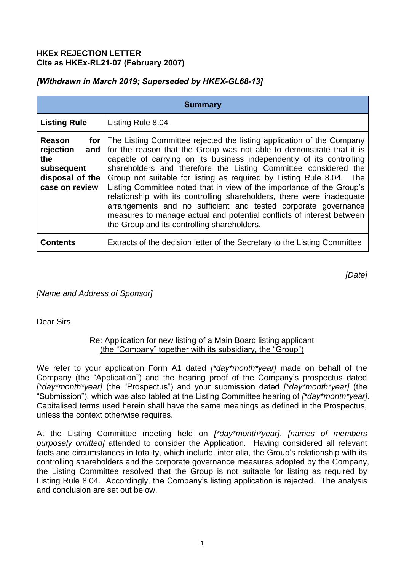### **HKEx REJECTION LETTER Cite as HKEx-RL21-07 (February 2007)**

# *[Withdrawn in March 2019; Superseded by HKEX-GL68-13]*

| <b>Summary</b>                                                                                    |                                                                                                                                                                                                                                                                                                                                                                                                                                                                                                                                                                                                                                                                                                              |
|---------------------------------------------------------------------------------------------------|--------------------------------------------------------------------------------------------------------------------------------------------------------------------------------------------------------------------------------------------------------------------------------------------------------------------------------------------------------------------------------------------------------------------------------------------------------------------------------------------------------------------------------------------------------------------------------------------------------------------------------------------------------------------------------------------------------------|
| <b>Listing Rule</b>                                                                               | Listing Rule 8.04                                                                                                                                                                                                                                                                                                                                                                                                                                                                                                                                                                                                                                                                                            |
| Reason<br>for l<br>rejection<br>and $ $<br>the<br>subsequent<br>disposal of the<br>case on review | The Listing Committee rejected the listing application of the Company<br>for the reason that the Group was not able to demonstrate that it is<br>capable of carrying on its business independently of its controlling<br>shareholders and therefore the Listing Committee considered the<br>Group not suitable for listing as required by Listing Rule 8.04. The<br>Listing Committee noted that in view of the importance of the Group's<br>relationship with its controlling shareholders, there were inadequate<br>arrangements and no sufficient and tested corporate governance<br>measures to manage actual and potential conflicts of interest between<br>the Group and its controlling shareholders. |
| <b>Contents</b>                                                                                   | Extracts of the decision letter of the Secretary to the Listing Committee                                                                                                                                                                                                                                                                                                                                                                                                                                                                                                                                                                                                                                    |

*[Date]*

*[Name and Address of Sponsor]* 

## Dear Sirs

### Re: Application for new listing of a Main Board listing applicant (the "Company" together with its subsidiary, the "Group")

We refer to your application Form A1 dated *[\*day\*month\*year]* made on behalf of the Company (the "Application") and the hearing proof of the Company's prospectus dated *[\*day\*month\*year]* (the "Prospectus") and your submission dated *[\*day\*month\*year]* (the "Submission"), which was also tabled at the Listing Committee hearing of *[\*day\*month\*year]*. Capitalised terms used herein shall have the same meanings as defined in the Prospectus, unless the context otherwise requires.

At the Listing Committee meeting held on *[\*day\*month\*year]*, *[names of members purposely omitted]* attended to consider the Application. Having considered all relevant facts and circumstances in totality, which include, inter alia, the Group's relationship with its controlling shareholders and the corporate governance measures adopted by the Company, the Listing Committee resolved that the Group is not suitable for listing as required by Listing Rule 8.04. Accordingly, the Company's listing application is rejected. The analysis and conclusion are set out below.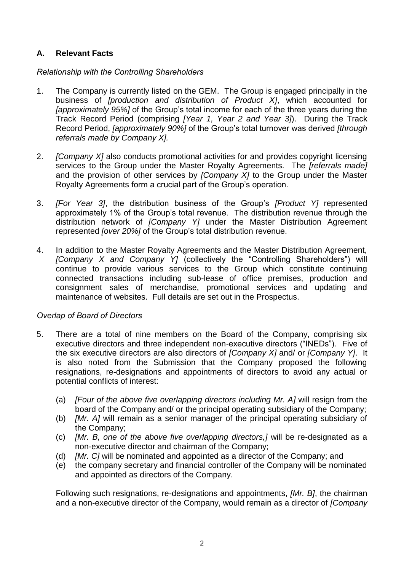# **A. Relevant Facts**

## *Relationship with the Controlling Shareholders*

- 1. The Company is currently listed on the GEM. The Group is engaged principally in the business of *[production and distribution of Product X]*, which accounted for *[approximately 95%]* of the Group's total income for each of the three years during the Track Record Period (comprising *[Year 1, Year 2 and Year 3]*). During the Track Record Period, *[approximately 90%]* of the Group's total turnover was derived *[through referrals made by Company X].*
- 2. *[Company X]* also conducts promotional activities for and provides copyright licensing services to the Group under the Master Royalty Agreements. The *[referrals made]* and the provision of other services by *[Company X]* to the Group under the Master Royalty Agreements form a crucial part of the Group's operation.
- 3. *[For Year 3]*, the distribution business of the Group's *[Product Y]* represented approximately 1% of the Group's total revenue. The distribution revenue through the distribution network of *[Company Y]* under the Master Distribution Agreement represented *[over 20%]* of the Group's total distribution revenue.
- 4. In addition to the Master Royalty Agreements and the Master Distribution Agreement, *[Company X and Company Y]* (collectively the "Controlling Shareholders") will continue to provide various services to the Group which constitute continuing connected transactions including sub-lease of office premises, production and consignment sales of merchandise, promotional services and updating and maintenance of websites. Full details are set out in the Prospectus.

#### *Overlap of Board of Directors*

- 5. There are a total of nine members on the Board of the Company, comprising six executive directors and three independent non-executive directors ("INEDs"). Five of the six executive directors are also directors of *[Company X]* and/ or *[Company Y]*. It is also noted from the Submission that the Company proposed the following resignations, re-designations and appointments of directors to avoid any actual or potential conflicts of interest:
	- (a) *[Four of the above five overlapping directors including Mr. A]* will resign from the board of the Company and/ or the principal operating subsidiary of the Company;
	- (b) *[Mr. A]* will remain as a senior manager of the principal operating subsidiary of the Company;
	- (c) *[Mr. B, one of the above five overlapping directors,]* will be re-designated as a non-executive director and chairman of the Company;
	- (d) *[Mr. C]* will be nominated and appointed as a director of the Company; and
	- (e) the company secretary and financial controller of the Company will be nominated and appointed as directors of the Company.

Following such resignations, re-designations and appointments, *[Mr. B]*, the chairman and a non-executive director of the Company, would remain as a director of *[Company*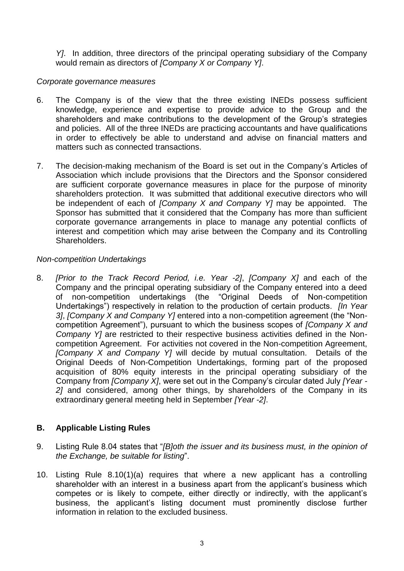*Y]*. In addition, three directors of the principal operating subsidiary of the Company would remain as directors of *[Company X or Company Y]*.

### *Corporate governance measures*

- 6. The Company is of the view that the three existing INEDs possess sufficient knowledge, experience and expertise to provide advice to the Group and the shareholders and make contributions to the development of the Group's strategies and policies. All of the three INEDs are practicing accountants and have qualifications in order to effectively be able to understand and advise on financial matters and matters such as connected transactions.
- 7. The decision-making mechanism of the Board is set out in the Company's Articles of Association which include provisions that the Directors and the Sponsor considered are sufficient corporate governance measures in place for the purpose of minority shareholders protection. It was submitted that additional executive directors who will be independent of each of *[Company X and Company Y]* may be appointed. The Sponsor has submitted that it considered that the Company has more than sufficient corporate governance arrangements in place to manage any potential conflicts of interest and competition which may arise between the Company and its Controlling Shareholders.

### *Non-competition Undertakings*

8. *[Prior to the Track Record Period, i.e. Year -2]*, *[Company X]* and each of the Company and the principal operating subsidiary of the Company entered into a deed of non-competition undertakings (the "Original Deeds of Non-competition Undertakings") respectively in relation to the production of certain products. *[In Year 3]*, *[Company X and Company Y]* entered into a non-competition agreement (the "Noncompetition Agreement"), pursuant to which the business scopes of *[Company X and Company Y]* are restricted to their respective business activities defined in the Noncompetition Agreement. For activities not covered in the Non-competition Agreement, *[Company X and Company Y]* will decide by mutual consultation. Details of the Original Deeds of Non-Competition Undertakings, forming part of the proposed acquisition of 80% equity interests in the principal operating subsidiary of the Company from *[Company X]*, were set out in the Company's circular dated July *[Year - 2]* and considered, among other things, by shareholders of the Company in its extraordinary general meeting held in September *[Year -2]*.

## **B. Applicable Listing Rules**

- 9. Listing Rule 8.04 states that "*[B]oth the issuer and its business must, in the opinion of the Exchange, be suitable for listing*".
- 10. Listing Rule 8.10(1)(a) requires that where a new applicant has a controlling shareholder with an interest in a business apart from the applicant's business which competes or is likely to compete, either directly or indirectly, with the applicant's business, the applicant's listing document must prominently disclose further information in relation to the excluded business.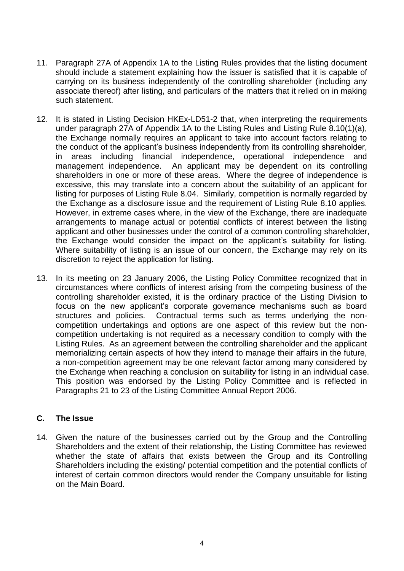- 11. Paragraph 27A of Appendix 1A to the Listing Rules provides that the listing document should include a statement explaining how the issuer is satisfied that it is capable of carrying on its business independently of the controlling shareholder (including any associate thereof) after listing, and particulars of the matters that it relied on in making such statement.
- 12. It is stated in Listing Decision HKEx-LD51-2 that, when interpreting the requirements under paragraph 27A of Appendix 1A to the Listing Rules and Listing Rule 8.10(1)(a), the Exchange normally requires an applicant to take into account factors relating to the conduct of the applicant's business independently from its controlling shareholder, in areas including financial independence, operational independence and management independence. An applicant may be dependent on its controlling shareholders in one or more of these areas. Where the degree of independence is excessive, this may translate into a concern about the suitability of an applicant for listing for purposes of Listing Rule 8.04. Similarly, competition is normally regarded by the Exchange as a disclosure issue and the requirement of Listing Rule 8.10 applies. However, in extreme cases where, in the view of the Exchange, there are inadequate arrangements to manage actual or potential conflicts of interest between the listing applicant and other businesses under the control of a common controlling shareholder, the Exchange would consider the impact on the applicant's suitability for listing. Where suitability of listing is an issue of our concern, the Exchange may rely on its discretion to reject the application for listing.
- 13. In its meeting on 23 January 2006, the Listing Policy Committee recognized that in circumstances where conflicts of interest arising from the competing business of the controlling shareholder existed, it is the ordinary practice of the Listing Division to focus on the new applicant's corporate governance mechanisms such as board structures and policies. Contractual terms such as terms underlying the noncompetition undertakings and options are one aspect of this review but the noncompetition undertaking is not required as a necessary condition to comply with the Listing Rules. As an agreement between the controlling shareholder and the applicant memorializing certain aspects of how they intend to manage their affairs in the future, a non-competition agreement may be one relevant factor among many considered by the Exchange when reaching a conclusion on suitability for listing in an individual case. This position was endorsed by the Listing Policy Committee and is reflected in Paragraphs 21 to 23 of the Listing Committee Annual Report 2006.

## **C. The Issue**

14. Given the nature of the businesses carried out by the Group and the Controlling Shareholders and the extent of their relationship, the Listing Committee has reviewed whether the state of affairs that exists between the Group and its Controlling Shareholders including the existing/ potential competition and the potential conflicts of interest of certain common directors would render the Company unsuitable for listing on the Main Board.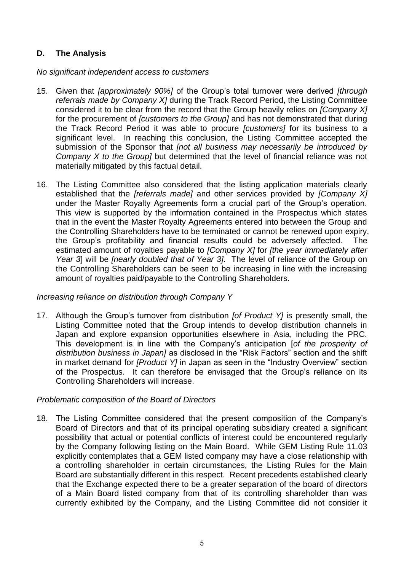# **D. The Analysis**

*No significant independent access to customers*

- 15. Given that *[approximately 90%]* of the Group's total turnover were derived *[through referrals made by Company X]* during the Track Record Period, the Listing Committee considered it to be clear from the record that the Group heavily relies on *[Company X]* for the procurement of *[customers to the Group]* and has not demonstrated that during the Track Record Period it was able to procure *[customers]* for its business to a significant level. In reaching this conclusion, the Listing Committee accepted the submission of the Sponsor that *[not all business may necessarily be introduced by Company X to the Group]* but determined that the level of financial reliance was not materially mitigated by this factual detail.
- 16. The Listing Committee also considered that the listing application materials clearly established that the *[referrals made]* and other services provided by *[Company X]* under the Master Royalty Agreements form a crucial part of the Group's operation. This view is supported by the information contained in the Prospectus which states that in the event the Master Royalty Agreements entered into between the Group and the Controlling Shareholders have to be terminated or cannot be renewed upon expiry, the Group's profitability and financial results could be adversely affected. The estimated amount of royalties payable to *[Company X]* for *[the year immediately after Year 3*] will be *[nearly doubled that of Year 3]*. The level of reliance of the Group on the Controlling Shareholders can be seen to be increasing in line with the increasing amount of royalties paid/payable to the Controlling Shareholders.

## *Increasing reliance on distribution through Company Y*

17. Although the Group's turnover from distribution *[of Product Y]* is presently small, the Listing Committee noted that the Group intends to develop distribution channels in Japan and explore expansion opportunities elsewhere in Asia, including the PRC. This development is in line with the Company's anticipation [*of the prosperity of distribution business in Japan]* as disclosed in the "Risk Factors" section and the shift in market demand for *[Product Y]* in Japan as seen in the "Industry Overview" section of the Prospectus. It can therefore be envisaged that the Group's reliance on its Controlling Shareholders will increase.

## *Problematic composition of the Board of Directors*

18. The Listing Committee considered that the present composition of the Company's Board of Directors and that of its principal operating subsidiary created a significant possibility that actual or potential conflicts of interest could be encountered regularly by the Company following listing on the Main Board. While GEM Listing Rule 11.03 explicitly contemplates that a GEM listed company may have a close relationship with a controlling shareholder in certain circumstances, the Listing Rules for the Main Board are substantially different in this respect. Recent precedents established clearly that the Exchange expected there to be a greater separation of the board of directors of a Main Board listed company from that of its controlling shareholder than was currently exhibited by the Company, and the Listing Committee did not consider it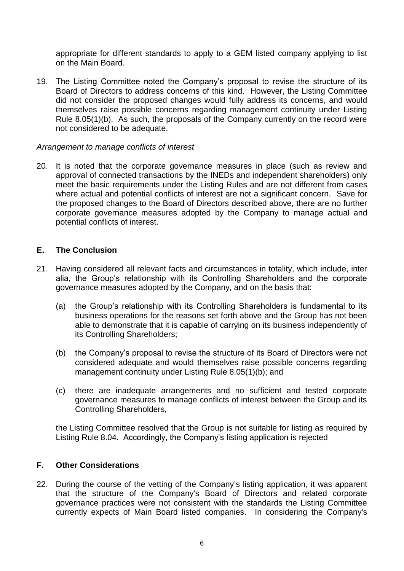appropriate for different standards to apply to a GEM listed company applying to list on the Main Board.

19. The Listing Committee noted the Company's proposal to revise the structure of its Board of Directors to address concerns of this kind. However, the Listing Committee did not consider the proposed changes would fully address its concerns, and would themselves raise possible concerns regarding management continuity under Listing Rule 8.05(1)(b). As such, the proposals of the Company currently on the record were not considered to be adequate.

#### *Arrangement to manage conflicts of interest*

20. It is noted that the corporate governance measures in place (such as review and approval of connected transactions by the INEDs and independent shareholders) only meet the basic requirements under the Listing Rules and are not different from cases where actual and potential conflicts of interest are not a significant concern. Save for the proposed changes to the Board of Directors described above, there are no further corporate governance measures adopted by the Company to manage actual and potential conflicts of interest.

### **E. The Conclusion**

- 21. Having considered all relevant facts and circumstances in totality, which include, inter alia, the Group's relationship with its Controlling Shareholders and the corporate governance measures adopted by the Company, and on the basis that:
	- (a) the Group's relationship with its Controlling Shareholders is fundamental to its business operations for the reasons set forth above and the Group has not been able to demonstrate that it is capable of carrying on its business independently of its Controlling Shareholders;
	- (b) the Company's proposal to revise the structure of its Board of Directors were not considered adequate and would themselves raise possible concerns regarding management continuity under Listing Rule 8.05(1)(b); and
	- (c) there are inadequate arrangements and no sufficient and tested corporate governance measures to manage conflicts of interest between the Group and its Controlling Shareholders,

the Listing Committee resolved that the Group is not suitable for listing as required by Listing Rule 8.04. Accordingly, the Company's listing application is rejected

#### **F. Other Considerations**

22. During the course of the vetting of the Company's listing application, it was apparent that the structure of the Company's Board of Directors and related corporate governance practices were not consistent with the standards the Listing Committee currently expects of Main Board listed companies. In considering the Company's